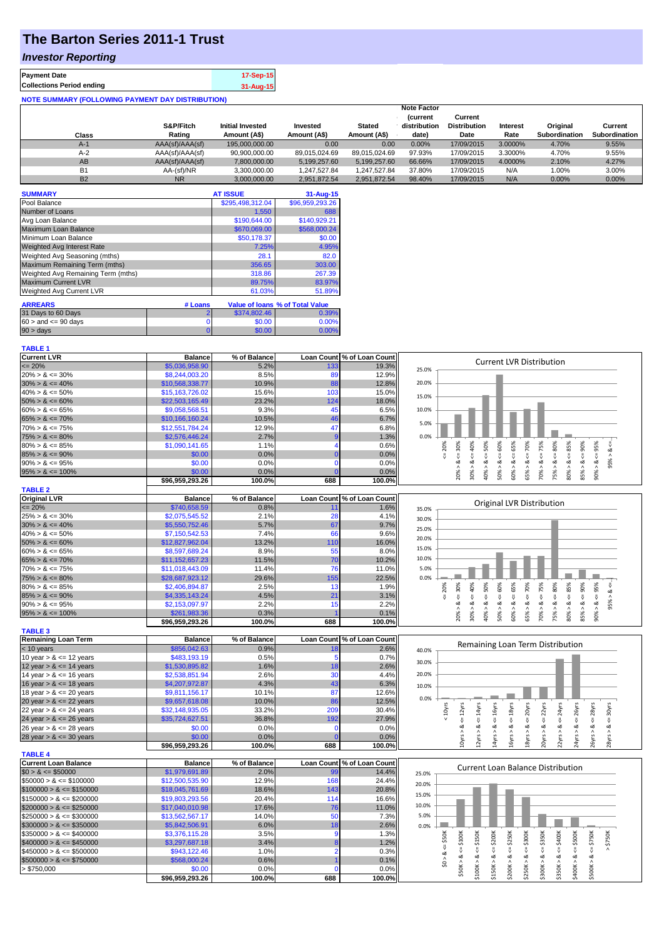# **The Barton Series 2011-1 Trust**

### *Investor Reporting*

| <b>Payment Date</b>              | 17-Sep-15 |
|----------------------------------|-----------|
| <b>Collections Period ending</b> | 31-Aug-15 |
|                                  |           |

| <b>NOTE SUMMARY (FOLLOWING PAYMENT DAY DISTRIBUTION)</b> |                 |                         |               |               |                                |                                |          |                      |                      |
|----------------------------------------------------------|-----------------|-------------------------|---------------|---------------|--------------------------------|--------------------------------|----------|----------------------|----------------------|
|                                                          |                 |                         |               |               | <b>Note Factor</b>             |                                |          |                      |                      |
|                                                          | S&P/Fitch       |                         |               |               | <b>Current</b><br>distribution | Current<br><b>Distribution</b> |          |                      |                      |
|                                                          |                 | <b>Initial Invested</b> | Invested      | <b>Stated</b> |                                |                                | Interest | Original             | Current              |
| <b>Class</b>                                             | Rating          | Amount (A\$)            | Amount (A\$)  | Amount (A\$)  | date)                          | Date                           | Rate     | <b>Subordination</b> | <b>Subordination</b> |
| $A-1$                                                    | AAA(sf)/AAA(sf) | 195,000,000.00          | 0.00          | 0.00          | 0.00%                          | 17/09/2015                     | 3.0000%  | 4.70%                | 9.55%                |
| $A-2$                                                    | AAA(sf)/AAA(sf) | 90,900,000.00           | 89.015.024.69 | 89.015.024.69 | 97.93%                         | 17/09/2015                     | 3.3000%  | 4.70%                | 9.55%                |
| AB                                                       | AAA(sf)/AAA(sf) | 7,800,000.00            | 5,199,257.60  | 5,199,257.60  | 66.66%                         | 17/09/2015                     | 4.0000%  | 2.10%                | 4.27%                |
| <b>B1</b>                                                | AA-(sf)/NR      | 3,300,000.00            | 1.247.527.84  | 1.247.527.84  | 37.80%                         | 17/09/2015                     | N/A      | 1.00%                | 3.00%                |
| <b>B2</b>                                                | <b>NR</b>       | 3,000,000.00            | 2.951.872.54  | 2.951.872.54  | 98.40%                         | 17/09/2015                     | N/A      | 0.00%                | 0.00%                |

| <b>SUMMARY</b>                     |         | <b>AT ISSUE</b>  | $31 - Aug - 15$                 |
|------------------------------------|---------|------------------|---------------------------------|
| Pool Balance                       |         | \$295,498,312.04 | \$96,959,293.26                 |
| Number of Loans                    |         | 1,550            | 688                             |
| Avg Loan Balance                   |         | \$190,644.00     | \$140,929.21                    |
| Maximum Loan Balance               |         | \$670,069.00     | \$568,000.24                    |
| Minimum Loan Balance               |         | \$50,178.37      | \$0.00                          |
| <b>Weighted Avg Interest Rate</b>  |         | 7.25%            | 4.95%                           |
| Weighted Avg Seasoning (mths)      |         | 28.1             | 82.0                            |
| Maximum Remaining Term (mths)      |         | 356.65           | 303.00                          |
| Weighted Avg Remaining Term (mths) |         | 318.86           | 267.39                          |
| <b>Maximum Current LVR</b>         |         | 89.75%           | 83.97%                          |
| Weighted Avg Current LVR           |         | 61.03%           | 51.89%                          |
| <b>ARREARS</b>                     | # Loans |                  | Value of Ioans % of Total Value |
| 31 Days to 60 Days                 | 2       | \$374,802.46     | 0.39%                           |
| $60 >$ and $\leq 90$ days          | 0       | \$0.00           | 0.00%                           |
| 90 > days                          | 0       | \$0.00           | 0.00%                           |

### **TABLE 1**

| <b>Current LVR</b>                                       | <b>Balance</b>            | % of Balance   |                   | Loan Count % of Loan Count |                                                                                                        | <b>Current LVR Distribution</b>                                                                                                 |
|----------------------------------------------------------|---------------------------|----------------|-------------------|----------------------------|--------------------------------------------------------------------------------------------------------|---------------------------------------------------------------------------------------------------------------------------------|
| $= 20%$                                                  | \$5,036,958.90            | 5.2%           | 133               | 19.3%                      | 25.0%                                                                                                  |                                                                                                                                 |
| $20\% > 8 \le 30\%$                                      | \$8,244,003.20            | 8.5%           | 89                | 12.9%                      |                                                                                                        |                                                                                                                                 |
| $30\% > 8 \le 40\%$                                      | \$10,568,338.77           | 10.9%          | 88                | 12.8%                      | 20.0%                                                                                                  |                                                                                                                                 |
| $40\% > 8 \le 50\%$                                      | \$15,163,726.02           | 15.6%          | 103               | 15.0%                      | 15.0%                                                                                                  |                                                                                                                                 |
| $50\% > 8 \le 60\%$                                      | \$22,503,165.49           | 23.2%          | 124               | 18.0%                      |                                                                                                        |                                                                                                                                 |
| $60\% > 8 \le 65\%$                                      | \$9,058,568.51            | 9.3%           | 45                | 6.5%                       | 10.0%                                                                                                  |                                                                                                                                 |
| $65\% > 8 \le 70\%$                                      | \$10,166,160.24           | 10.5%          | 46                | 6.7%                       |                                                                                                        |                                                                                                                                 |
| $70\% > 8 \le 75\%$                                      | \$12,551,784.24           | 12.9%          | 47                | 6.8%                       | 5.0%                                                                                                   |                                                                                                                                 |
| $75\% > 8 \le 80\%$                                      | \$2,576,446.24            | 2.7%           |                   | 1.3%                       | 0.0%                                                                                                   |                                                                                                                                 |
| $80\% > 8 \le 85\%$                                      | \$1,090,141.65            | 1.1%           | Δ                 | 0.6%                       | $\epsilon = 50\%$<br>$50\% > 8 <= 60\%$<br>65%<br>$\leq 20\%$                                          | $4 = 70\%$<br>$70\% > 8 <= 75\%$<br>$75\% > 8 <= 80\%$<br>$\leq 85\%$<br>$85% > 8 < = 90%$                                      |
| $85\% > 8 \le 90\%$                                      | \$0.00                    | 0.0%           | $\Omega$          | 0.0%                       | $20\% > 8 <= 30\%$<br>40%                                                                              | $90\% > 8 < 95\%$<br>$95\% > 8 <$                                                                                               |
| $90\% > 8 \le 95\%$                                      | \$0.00                    | 0.0%           | $\mathbf 0$       | 0.0%                       |                                                                                                        |                                                                                                                                 |
| $95\% > 8 \le 100\%$                                     | \$0.00                    | 0.0%           | $\Omega$          | 0.0%                       | $60\% > 8 <=$<br>30% > 8<br>40% > 8                                                                    | 65% > 8<br>80% > 8                                                                                                              |
|                                                          | \$96,959,293.26           | 100.0%         | 688               | 100.0%                     |                                                                                                        |                                                                                                                                 |
| <b>TABLE 2</b>                                           |                           |                |                   |                            |                                                                                                        |                                                                                                                                 |
| <b>Original LVR</b>                                      | <b>Balance</b>            | % of Balance   |                   | Loan Count % of Loan Count |                                                                                                        |                                                                                                                                 |
| $= 20%$                                                  | \$740,658.59              | 0.8%           | 11                | 1.6%                       | <b>Original LVR Distribution</b><br>35.0%                                                              |                                                                                                                                 |
| $25\% > 8 \le 30\%$                                      | \$2,075,545.52            | 2.1%           | 28                | 4.1%                       |                                                                                                        |                                                                                                                                 |
| $30\% > 8 \le 40\%$                                      | \$5,550,752.46            | 5.7%           | 67                | 9.7%                       | 30.0%                                                                                                  |                                                                                                                                 |
| $40\% > 8 \le 50\%$                                      | \$7,150,542.53            | 7.4%           | 66                | 9.6%                       | 25.0%                                                                                                  |                                                                                                                                 |
| $50\% > 8 \le 60\%$                                      | \$12,827,962.04           | 13.2%          | 110               | 16.0%                      | 20.0%                                                                                                  |                                                                                                                                 |
| $60\% > 8 \le 65\%$                                      | \$8,597,689.24            | 8.9%           | 55                | 8.0%                       | 15.0%                                                                                                  |                                                                                                                                 |
| $65\% > 8 \le 70\%$                                      | \$11,152,657.23           | 11.5%          | 70                | 10.2%                      | 10.0%                                                                                                  |                                                                                                                                 |
| $70\% > 8 \le 75\%$                                      | \$11,018,443.09           | 11.4%          | 76                | 11.0%                      | 5.0%                                                                                                   |                                                                                                                                 |
| $75\% > 8 \le 80\%$                                      | \$28,687,923.12           | 29.6%          | 155               | 22.5%                      | 0.0%                                                                                                   |                                                                                                                                 |
| $80\% > 8 \le 85\%$                                      | \$2,406,894.87            | 2.5%           | 13                | 1.9%                       |                                                                                                        |                                                                                                                                 |
| $85\% > 8 \le 90\%$                                      | \$4,335,143.24            | 4.5%           | 21                | 3.1%                       | $\leq 50\%$<br>20%<br>Įij,                                                                             |                                                                                                                                 |
| $90\% > 8 \le 95\%$                                      | \$2,153,097.97            | 2.2%           | 15                | 2.2%                       | $> 8 - 40%$<br>$> 8c = 65%$                                                                            | 95% > 8 <                                                                                                                       |
| $95\% > 8 \le 100\%$                                     | \$261,983.36              | 0.3%           |                   | 0.1%                       | $20\% > 8 <= 30\%$<br>$50\% > 8 <= 60\%$<br>40% > 8                                                    | $65\% > 8 <= 70\%$<br>$70\% > 8 <= 75\%$<br>$75\% > 8 <= 80\%$<br>$80\% > 8 <= 85\%$<br>$85% > 8 <= 90%$<br>$90\% > 8 < = 95\%$ |
|                                                          | \$96,959,293.26           | 100.0%         | 688               | 100.0%                     | 30%<br>60%                                                                                             |                                                                                                                                 |
|                                                          |                           |                |                   |                            |                                                                                                        |                                                                                                                                 |
|                                                          |                           |                |                   |                            |                                                                                                        |                                                                                                                                 |
| <b>TABLE 3</b>                                           |                           |                |                   |                            |                                                                                                        |                                                                                                                                 |
| <b>Remaining Loan Term</b>                               | <b>Balance</b>            | % of Balance   |                   | Loan Count % of Loan Count |                                                                                                        | Remaining Loan Term Distribution                                                                                                |
| $<$ 10 years                                             | \$856,042.63              | 0.9%           | 18                | 2.6%                       | 40.0%                                                                                                  |                                                                                                                                 |
| 10 year $> 8 \le 12$ years                               | \$483,193.19              | 0.5%           |                   | 0.7%                       | 30.0%                                                                                                  |                                                                                                                                 |
| 12 year $> 8 \le 14$ years                               | \$1,530,895.82            | 1.6%           | 18                | 2.6%                       |                                                                                                        |                                                                                                                                 |
| 14 year $> 8 \le 16$ years                               | \$2,538,851.94            | 2.6%           | 30                | 4.4%                       | 20.0%                                                                                                  |                                                                                                                                 |
| 16 year $> 8 \le 18$ years                               | \$4,207,972.87            | 4.3%           | 43                | 6.3%                       | 10.0%                                                                                                  |                                                                                                                                 |
| 18 year $> 8 \le 20$ years                               | \$9,811,156.17            | 10.1%          | 87                | 12.6%                      | 0.0%                                                                                                   |                                                                                                                                 |
| 20 year $> 8 \le 22$ years                               | \$9,657,618.08            | 10.0%          | 86                | 12.5%                      |                                                                                                        |                                                                                                                                 |
| 22 year $> 8 \le 24$ years                               | \$32,148,935.05           | 33.2%          | 209               | 30.4%                      |                                                                                                        |                                                                                                                                 |
| 24 year $> 8 \le 26$ years                               | \$35,724,627.51           | 36.8%          | 192               | 27.9%                      | $< 10$ yrs                                                                                             | $\epsilon$ = 20 $\gamma$ rs<br>$\epsilon$ = 22 $\gamma$ rs<br>$\leq$ = 24 $\gamma$ rs<br>$\leq$ = 30 $\gamma$ rs                |
| 26 year $> 8 \le 28$ years                               | \$0.00                    | 0.0%           | n                 | 0.0%                       |                                                                                                        | ઌ                                                                                                                               |
| 28 year $> 8 \le 30$ years                               | \$0.00                    | 0.0%           |                   | 0.0%                       |                                                                                                        |                                                                                                                                 |
|                                                          | \$96,959,293.26           | 100.0%         | 688               | 100.0%                     | $12yrs > 8 <= 14yrs$<br>$14yrs > 8 <= 16yrs$<br>$16yrs > 8 <= 18yrs$<br>$10yrs > 8 <= 12yrs$           | 24yrs > 8c < 26yrs<br>$26yrs > 8c = 28yrs$<br>18yrs > 8<br>20yrs > 8<br>22yrs > 8<br>28yrs > 8                                  |
| <b>TABLE 4</b>                                           |                           |                |                   |                            |                                                                                                        |                                                                                                                                 |
| <b>Current Loan Balance</b>                              | <b>Balance</b>            | % of Balance   | <b>Loan Count</b> | % of Loan Count            |                                                                                                        | <b>Current Loan Balance Distribution</b>                                                                                        |
| $$0 > 8 \leq $50000$                                     | \$1,979,691.89            | 2.0%           | 99                | 14.4%                      | 25.0%                                                                                                  |                                                                                                                                 |
| $$50000 > 8 \le $100000$                                 | \$12,500,535.90           | 12.9%          | 168               | 24.4%                      | 20.0%                                                                                                  |                                                                                                                                 |
| $$100000 > 8 \leq $150000$                               | \$18,045,761.69           | 18.6%          | 143               | 20.8%                      | 15.0%                                                                                                  |                                                                                                                                 |
| $$150000 > 8 \leq $200000$                               | \$19,803,293.56           | 20.4%          | 114               | 16.6%                      |                                                                                                        |                                                                                                                                 |
| $$200000 > 8 \leq $250000$                               | \$17,040,010.98           | 17.6%          | 76                | 11.0%                      | 10.0%                                                                                                  |                                                                                                                                 |
| $$250000 > 8 \leq $300000$                               | \$13,562,567.17           | 14.0%          | 50                | 7.3%                       | 5.0%                                                                                                   |                                                                                                                                 |
| $$300000 > 8 \leq $350000$                               | \$5,842,506.91            | 6.0%           | 18                | 2.6%                       | 0.0%                                                                                                   |                                                                                                                                 |
|                                                          | \$3,376,115.28            | 3.5%           | o                 | 1.3%                       |                                                                                                        |                                                                                                                                 |
| $$350000 > 8 \leq $400000$<br>$$400000 > 8 \leq $450000$ | \$3,297,687.18            | 3.4%           |                   | 1.2%                       |                                                                                                        | $-5400K$<br>: \$350K<br>\$750K                                                                                                  |
| $$450000 > 8 \leq $500000$                               | \$943,122.46              | 1.0%           |                   | 0.3%                       | $\leq$ = \$50K                                                                                         | $4 = $300K$<br>$4 = $500K$<br>$4 = $750K$                                                                                       |
| $$500000 > 8 \leq $750000$                               | \$568,000.24              | 0.6%           |                   | 0.1%                       |                                                                                                        | ∝                                                                                                                               |
| > \$750,000                                              | \$0.00<br>\$96,959,293.26 | 0.0%<br>100.0% | 688               | 0.0%<br>100.0%             | $$50K > 8 <= $100K$<br>$$100K > 8 <= $150K$<br>$$150K > 8 < = $200K$<br>$$200K > < = $250K$<br>\$0 > 8 | \$250K > 8<br>\$400K > 8<br>\$500K > 8<br>\$300K > 8<br>\$350K>                                                                 |